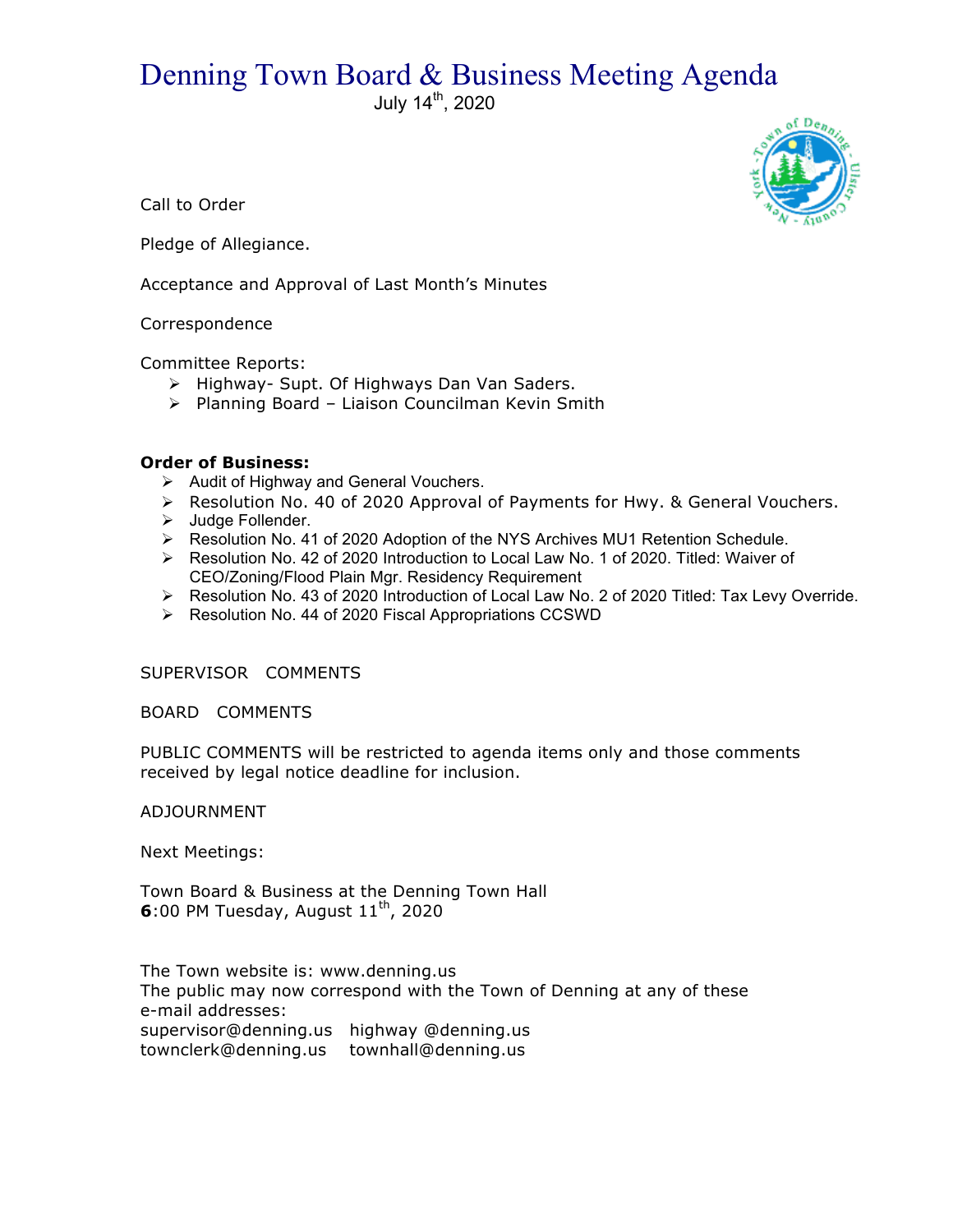## Denning Town Board & Business Meeting Agenda

July 14th, 2020



Call to Order

Pledge of Allegiance.

Acceptance and Approval of Last Month's Minutes

## Correspondence

Committee Reports:

- > Highway- Supt. Of Highways Dan Van Saders.
- > Planning Board Liaison Councilman Kevin Smith

## **Order of Business:**

- $\triangleright$  Audit of Highway and General Vouchers.
- $\triangleright$  Resolution No. 40 of 2020 Approval of Payments for Hwy. & General Vouchers.
- > Judge Follender.
- ! Resolution No. 41 of 2020 Adoption of the NYS Archives MU1 Retention Schedule.
- > Resolution No. 42 of 2020 Introduction to Local Law No. 1 of 2020. Titled: Waiver of CEO/Zoning/Flood Plain Mgr. Residency Requirement
- ▶ Resolution No. 43 of 2020 Introduction of Local Law No. 2 of 2020 Titled: Tax Levy Override.
- ! Resolution No. 44 of 2020 Fiscal Appropriations CCSWD

SUPERVISOR COMMENTS

BOARD COMMENTS

PUBLIC COMMENTS will be restricted to agenda items only and those comments received by legal notice deadline for inclusion.

ADJOURNMENT

Next Meetings:

Town Board & Business at the Denning Town Hall **6**:00 PM Tuesday, August  $11<sup>th</sup>$ , 2020

The Town website is: www.denning.us The public may now correspond with the Town of Denning at any of these e-mail addresses: supervisor@denning.us highway @denning.us townclerk@denning.us townhall@denning.us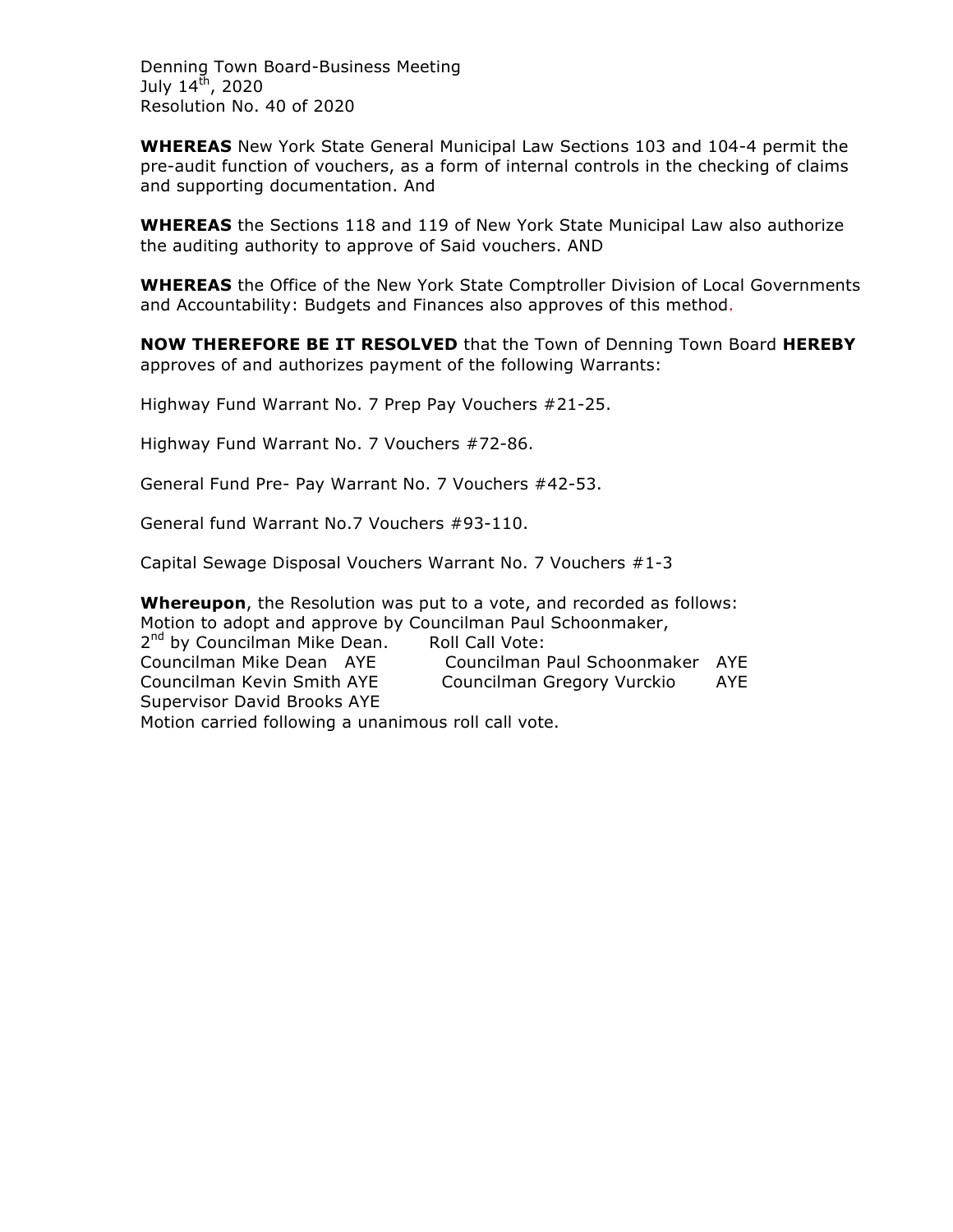Denning Town Board-Business Meeting July  $14^{\text{th}}$ , 2020 Resolution No. 40 of 2020

**WHEREAS** New York State General Municipal Law Sections 103 and 104-4 permit the pre-audit function of vouchers, as a form of internal controls in the checking of claims and supporting documentation. And

**WHEREAS** the Sections 118 and 119 of New York State Municipal Law also authorize the auditing authority to approve of Said vouchers. AND

**WHEREAS** the Office of the New York State Comptroller Division of Local Governments and Accountability: Budgets and Finances also approves of this method.

**NOW THEREFORE BE IT RESOLVED** that the Town of Denning Town Board **HEREBY** approves of and authorizes payment of the following Warrants:

Highway Fund Warrant No. 7 Prep Pay Vouchers #21-25.

Highway Fund Warrant No. 7 Vouchers #72-86.

General Fund Pre- Pay Warrant No. 7 Vouchers #42-53.

General fund Warrant No.7 Vouchers #93-110.

Capital Sewage Disposal Vouchers Warrant No. 7 Vouchers #1-3

**Whereupon**, the Resolution was put to a vote, and recorded as follows: Motion to adopt and approve by Councilman Paul Schoonmaker, 2<sup>nd</sup> by Councilman Mike Dean. Roll Call Vote: Councilman Mike Dean AYE Councilman Paul Schoonmaker AYE Councilman Kevin Smith AYE Councilman Gregory Vurckio AYE Supervisor David Brooks AYE Motion carried following a unanimous roll call vote.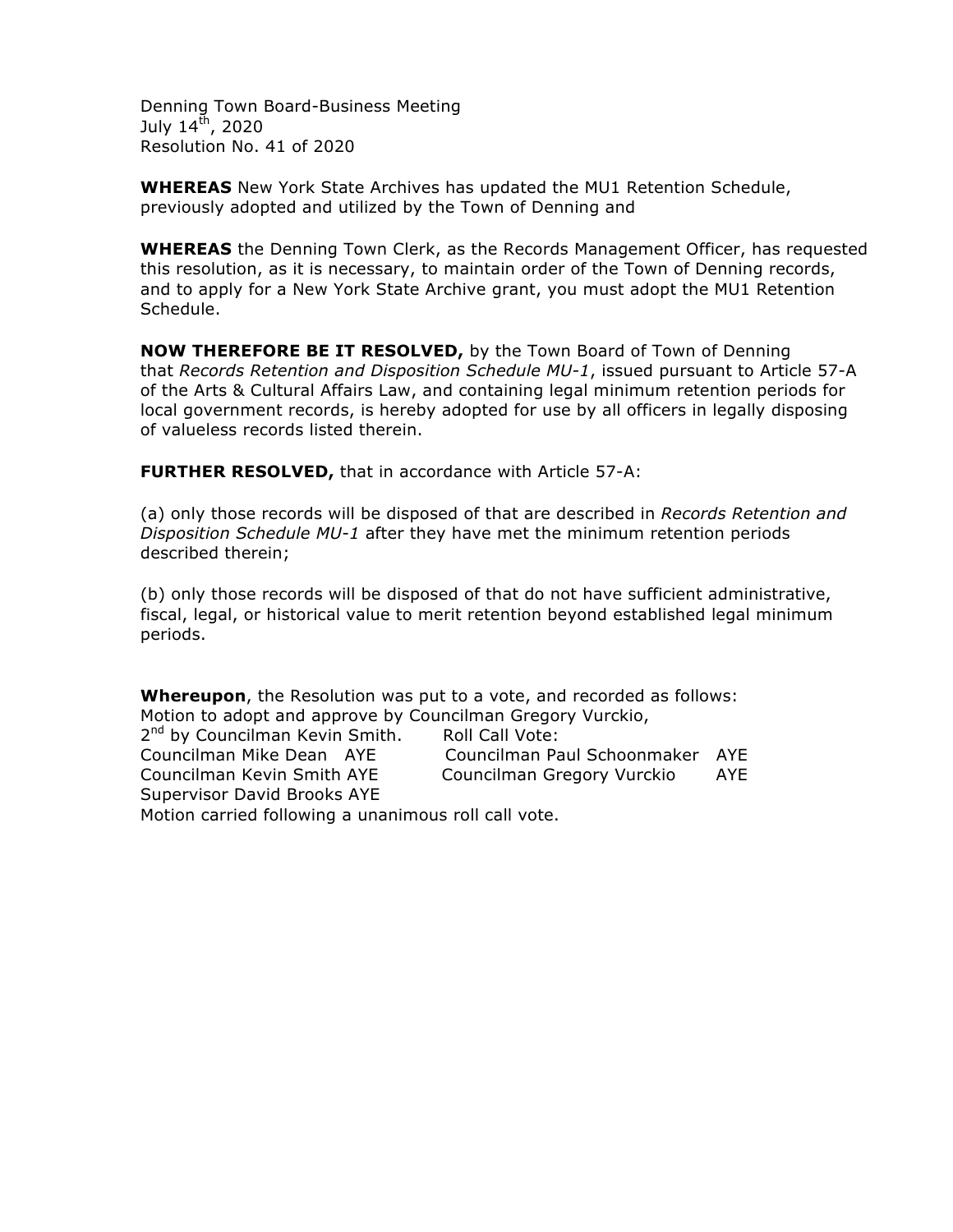Denning Town Board-Business Meeting July  $14^{\text{th}}$ , 2020 Resolution No. 41 of 2020

**WHEREAS** New York State Archives has updated the MU1 Retention Schedule, previously adopted and utilized by the Town of Denning and

**WHEREAS** the Denning Town Clerk, as the Records Management Officer, has requested this resolution, as it is necessary, to maintain order of the Town of Denning records, and to apply for a New York State Archive grant, you must adopt the MU1 Retention Schedule.

**NOW THEREFORE BE IT RESOLVED,** by the Town Board of Town of Denning that *Records Retention and Disposition Schedule MU-1*, issued pursuant to Article 57-A of the Arts & Cultural Affairs Law, and containing legal minimum retention periods for local government records, is hereby adopted for use by all officers in legally disposing of valueless records listed therein.

**FURTHER RESOLVED,** that in accordance with Article 57-A:

(a) only those records will be disposed of that are described in *Records Retention and Disposition Schedule MU-1* after they have met the minimum retention periods described therein;

(b) only those records will be disposed of that do not have sufficient administrative, fiscal, legal, or historical value to merit retention beyond established legal minimum periods.

**Whereupon**, the Resolution was put to a vote, and recorded as follows: Motion to adopt and approve by Councilman Gregory Vurckio,

| 2 <sup>nd</sup> by Councilman Kevin Smith.          | Roll Call Vote:                 |     |
|-----------------------------------------------------|---------------------------------|-----|
| Councilman Mike Dean AYE                            | Councilman Paul Schoonmaker AYE |     |
| Councilman Kevin Smith AYE                          | Councilman Gregory Vurckio      | AYE |
| Supervisor David Brooks AYE                         |                                 |     |
| Motion carried following a unanimous roll call vote |                                 |     |

Motion carried following a unanimous roll call vote.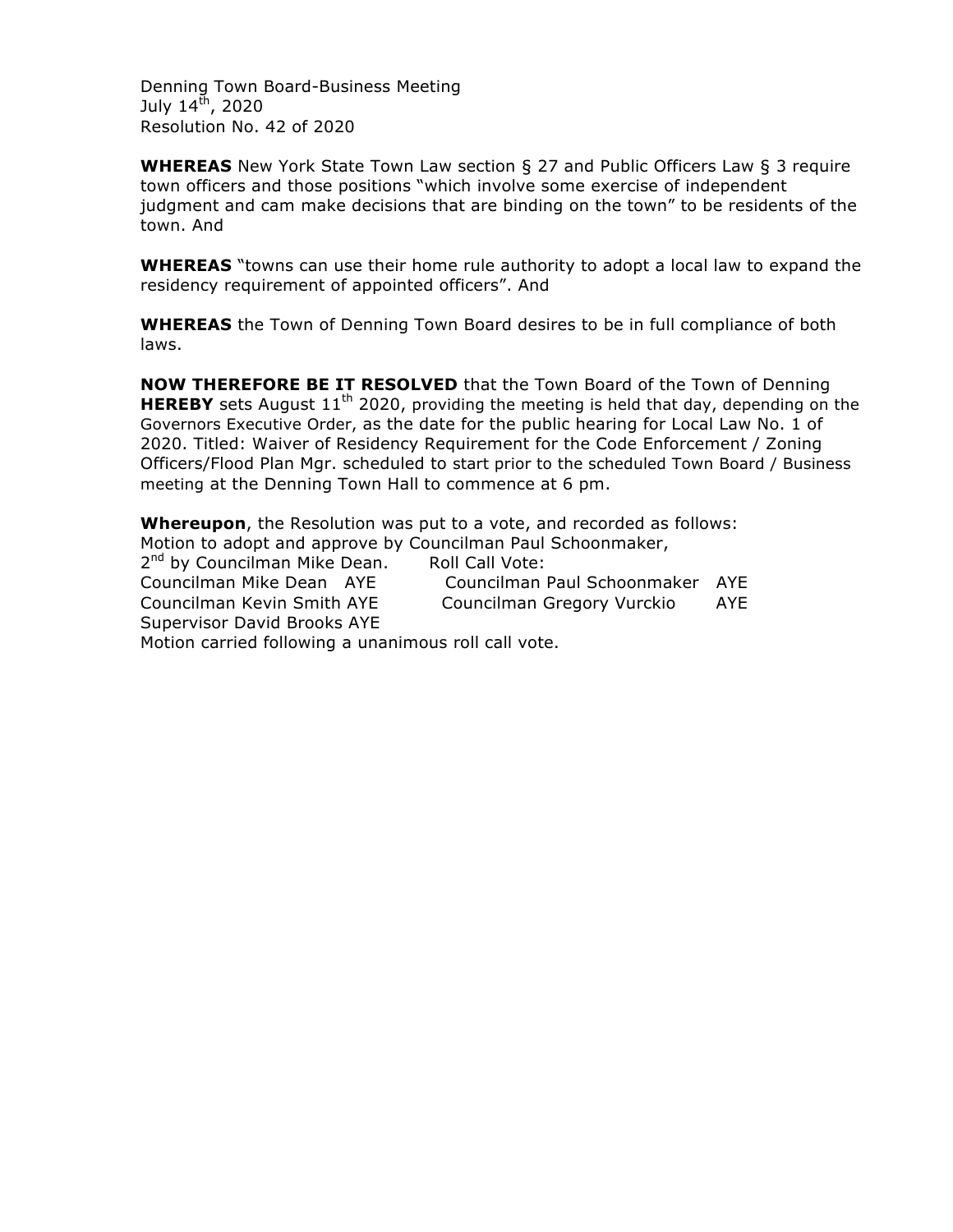Denning Town Board-Business Meeting July  $14^{\text{th}}$ , 2020 Resolution No. 42 of 2020

**WHEREAS** New York State Town Law section § 27 and Public Officers Law § 3 require town officers and those positions "which involve some exercise of independent judgment and cam make decisions that are binding on the town" to be residents of the town. And

**WHEREAS** "towns can use their home rule authority to adopt a local law to expand the residency requirement of appointed officers". And

**WHEREAS** the Town of Denning Town Board desires to be in full compliance of both laws.

**NOW THEREFORE BE IT RESOLVED** that the Town Board of the Town of Denning **HEREBY** sets August 11<sup>th</sup> 2020, providing the meeting is held that day, depending on the Governors Executive Order, as the date for the public hearing for Local Law No. 1 of 2020. Titled: Waiver of Residency Requirement for the Code Enforcement / Zoning Officers/Flood Plan Mgr. scheduled to start prior to the scheduled Town Board / Business meeting at the Denning Town Hall to commence at 6 pm.

**Whereupon**, the Resolution was put to a vote, and recorded as follows: Motion to adopt and approve by Councilman Paul Schoonmaker, 2<sup>nd</sup> by Councilman Mike Dean. Roll Call Vote: Councilman Mike Dean AYE Councilman Paul Schoonmaker AYE Councilman Kevin Smith AYE Councilman Gregory Vurckio AYE Supervisor David Brooks AYE Motion carried following a unanimous roll call vote.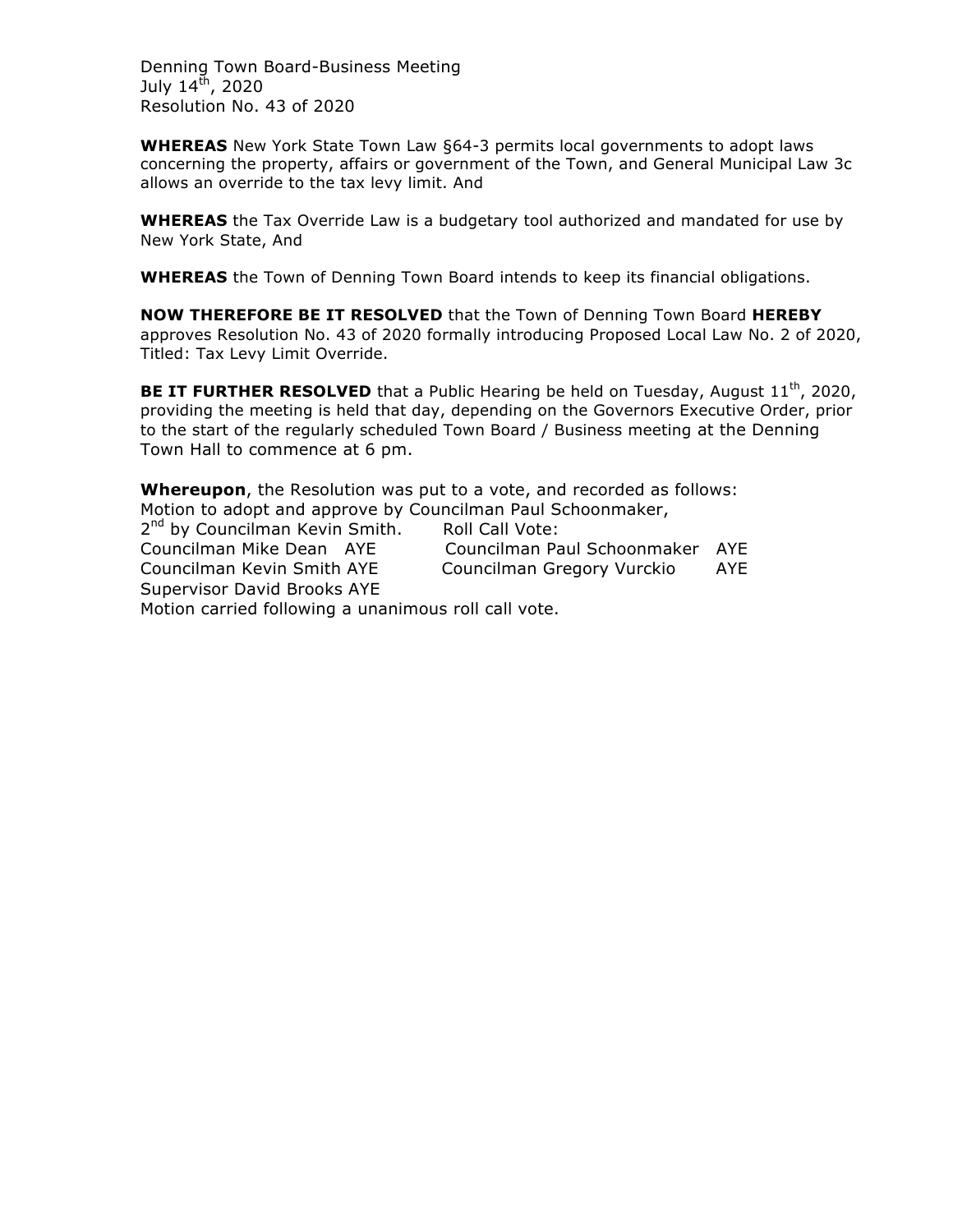Denning Town Board-Business Meeting July  $14^{\text{th}}$ , 2020 Resolution No. 43 of 2020

**WHEREAS** New York State Town Law §64-3 permits local governments to adopt laws concerning the property, affairs or government of the Town, and General Municipal Law 3c allows an override to the tax levy limit. And

**WHEREAS** the Tax Override Law is a budgetary tool authorized and mandated for use by New York State, And

**WHEREAS** the Town of Denning Town Board intends to keep its financial obligations.

**NOW THEREFORE BE IT RESOLVED** that the Town of Denning Town Board **HEREBY** approves Resolution No. 43 of 2020 formally introducing Proposed Local Law No. 2 of 2020, Titled: Tax Levy Limit Override.

**BE IT FURTHER RESOLVED** that a Public Hearing be held on Tuesday, August 11<sup>th</sup>, 2020, providing the meeting is held that day, depending on the Governors Executive Order, prior to the start of the regularly scheduled Town Board / Business meeting at the Denning Town Hall to commence at 6 pm.

**Whereupon**, the Resolution was put to a vote, and recorded as follows: Motion to adopt and approve by Councilman Paul Schoonmaker,

2<sup>nd</sup> by Councilman Kevin Smith. Roll Call Vote: Councilman Kevin Smith AYE Councilman Gregory Vurckio AYE Supervisor David Brooks AYE

Councilman Mike Dean AYE Councilman Paul Schoonmaker AYE

Motion carried following a unanimous roll call vote.